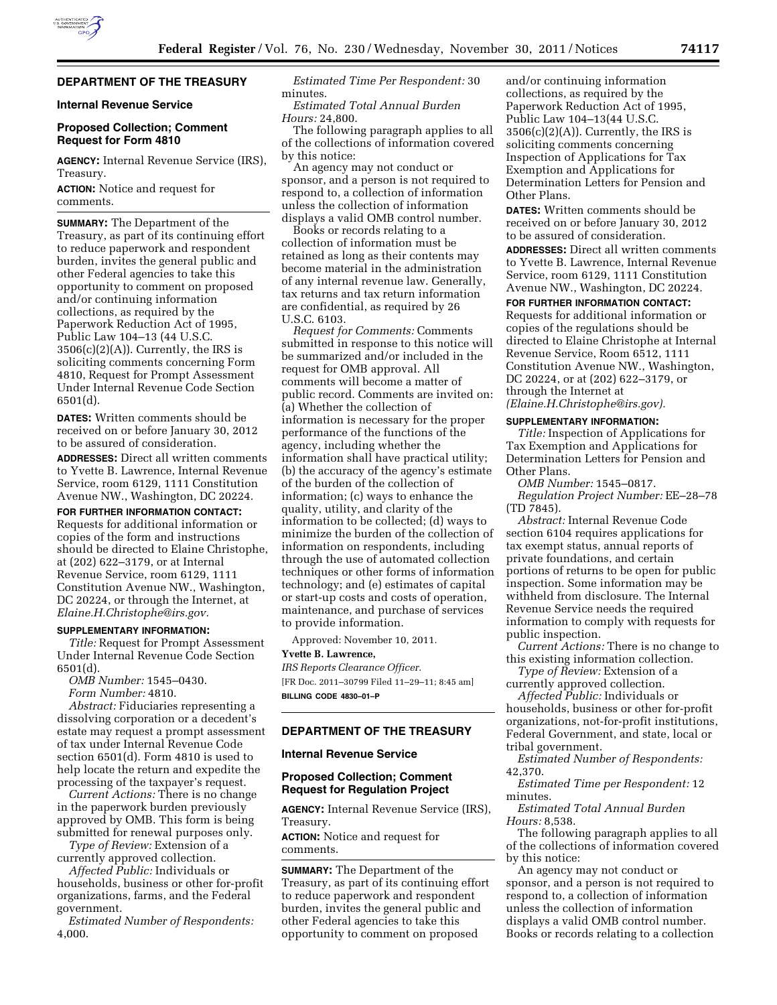

# **DEPARTMENT OF THE TREASURY**

# **Internal Revenue Service**

## **Proposed Collection; Comment Request for Form 4810**

**AGENCY:** Internal Revenue Service (IRS), Treasury.

**ACTION:** Notice and request for comments.

**SUMMARY:** The Department of the Treasury, as part of its continuing effort to reduce paperwork and respondent burden, invites the general public and other Federal agencies to take this opportunity to comment on proposed and/or continuing information collections, as required by the Paperwork Reduction Act of 1995, Public Law 104–13 (44 U.S.C.  $3506(c)(2)(A)$ . Currently, the IRS is soliciting comments concerning Form 4810, Request for Prompt Assessment Under Internal Revenue Code Section 6501(d).

**DATES:** Written comments should be received on or before January 30, 2012 to be assured of consideration.

**ADDRESSES:** Direct all written comments to Yvette B. Lawrence, Internal Revenue Service, room 6129, 1111 Constitution Avenue NW., Washington, DC 20224.

**FOR FURTHER INFORMATION CONTACT:**  Requests for additional information or copies of the form and instructions should be directed to Elaine Christophe, at (202) 622–3179, or at Internal Revenue Service, room 6129, 1111 Constitution Avenue NW., Washington, DC 20224, or through the Internet, at *[Elaine.H.Christophe@irs.gov.](mailto:Elaine.H.Christophe@irs.gov)* 

### **SUPPLEMENTARY INFORMATION:**

*Title:* Request for Prompt Assessment Under Internal Revenue Code Section 6501(d).

*OMB Number:* 1545–0430.

*Form Number:* 4810.

*Abstract:* Fiduciaries representing a dissolving corporation or a decedent's estate may request a prompt assessment of tax under Internal Revenue Code section 6501(d). Form 4810 is used to help locate the return and expedite the processing of the taxpayer's request.

*Current Actions:* There is no change in the paperwork burden previously approved by OMB. This form is being submitted for renewal purposes only.

*Type of Review:* Extension of a currently approved collection.

*Affected Public:* Individuals or households, business or other for-profit organizations, farms, and the Federal government.

*Estimated Number of Respondents:*  4,000.

*Estimated Time Per Respondent:* 30 minutes.

*Estimated Total Annual Burden Hours:* 24,800.

The following paragraph applies to all of the collections of information covered by this notice:

An agency may not conduct or sponsor, and a person is not required to respond to, a collection of information unless the collection of information displays a valid OMB control number.

Books or records relating to a collection of information must be retained as long as their contents may become material in the administration of any internal revenue law. Generally, tax returns and tax return information are confidential, as required by 26 U.S.C. 6103.

*Request for Comments:* Comments submitted in response to this notice will be summarized and/or included in the request for OMB approval. All comments will become a matter of public record. Comments are invited on: (a) Whether the collection of information is necessary for the proper performance of the functions of the agency, including whether the information shall have practical utility; (b) the accuracy of the agency's estimate of the burden of the collection of information; (c) ways to enhance the quality, utility, and clarity of the information to be collected; (d) ways to minimize the burden of the collection of information on respondents, including through the use of automated collection techniques or other forms of information technology; and (e) estimates of capital or start-up costs and costs of operation, maintenance, and purchase of services to provide information.

Approved: November 10, 2011.

### **Yvette B. Lawrence,**

*IRS Reports Clearance Officer.*  [FR Doc. 2011–30799 Filed 11–29–11; 8:45 am] **BILLING CODE 4830–01–P** 

# **DEPARTMENT OF THE TREASURY**

# **Internal Revenue Service**

# **Proposed Collection; Comment Request for Regulation Project**

**AGENCY:** Internal Revenue Service (IRS), Treasury.

**ACTION:** Notice and request for comments.

**SUMMARY:** The Department of the Treasury, as part of its continuing effort to reduce paperwork and respondent burden, invites the general public and other Federal agencies to take this opportunity to comment on proposed

and/or continuing information collections, as required by the Paperwork Reduction Act of 1995, Public Law 104–13(44 U.S.C.  $3506(c)(2)(A)$ . Currently, the IRS is soliciting comments concerning Inspection of Applications for Tax Exemption and Applications for Determination Letters for Pension and Other Plans.

**DATES:** Written comments should be received on or before January 30, 2012 to be assured of consideration.

**ADDRESSES:** Direct all written comments to Yvette B. Lawrence, Internal Revenue Service, room 6129, 1111 Constitution Avenue NW., Washington, DC 20224.

**FOR FURTHER INFORMATION CONTACT:**  Requests for additional information or copies of the regulations should be directed to Elaine Christophe at Internal Revenue Service, Room 6512, 1111 Constitution Avenue NW., Washington, DC 20224, or at (202) 622–3179, or through the Internet at *([Elaine.H.Christophe@irs.gov\).](mailto:Elaine.H.Christophe@irs.gov)* 

#### **SUPPLEMENTARY INFORMATION:**

*Title:* Inspection of Applications for Tax Exemption and Applications for Determination Letters for Pension and Other Plans.

*OMB Number:* 1545–0817.

*Regulation Project Number:* EE–28–78 (TD 7845).

*Abstract:* Internal Revenue Code section 6104 requires applications for tax exempt status, annual reports of private foundations, and certain portions of returns to be open for public inspection. Some information may be withheld from disclosure. The Internal Revenue Service needs the required information to comply with requests for public inspection.

*Current Actions:* There is no change to this existing information collection.

*Type of Review:* Extension of a currently approved collection.

*Affected Public:* Individuals or households, business or other for-profit organizations, not-for-profit institutions, Federal Government, and state, local or tribal government.

*Estimated Number of Respondents:*  42,370.

*Estimated Time per Respondent:* 12 minutes.

*Estimated Total Annual Burden Hours:* 8,538.

The following paragraph applies to all of the collections of information covered by this notice:

An agency may not conduct or sponsor, and a person is not required to respond to, a collection of information unless the collection of information displays a valid OMB control number. Books or records relating to a collection